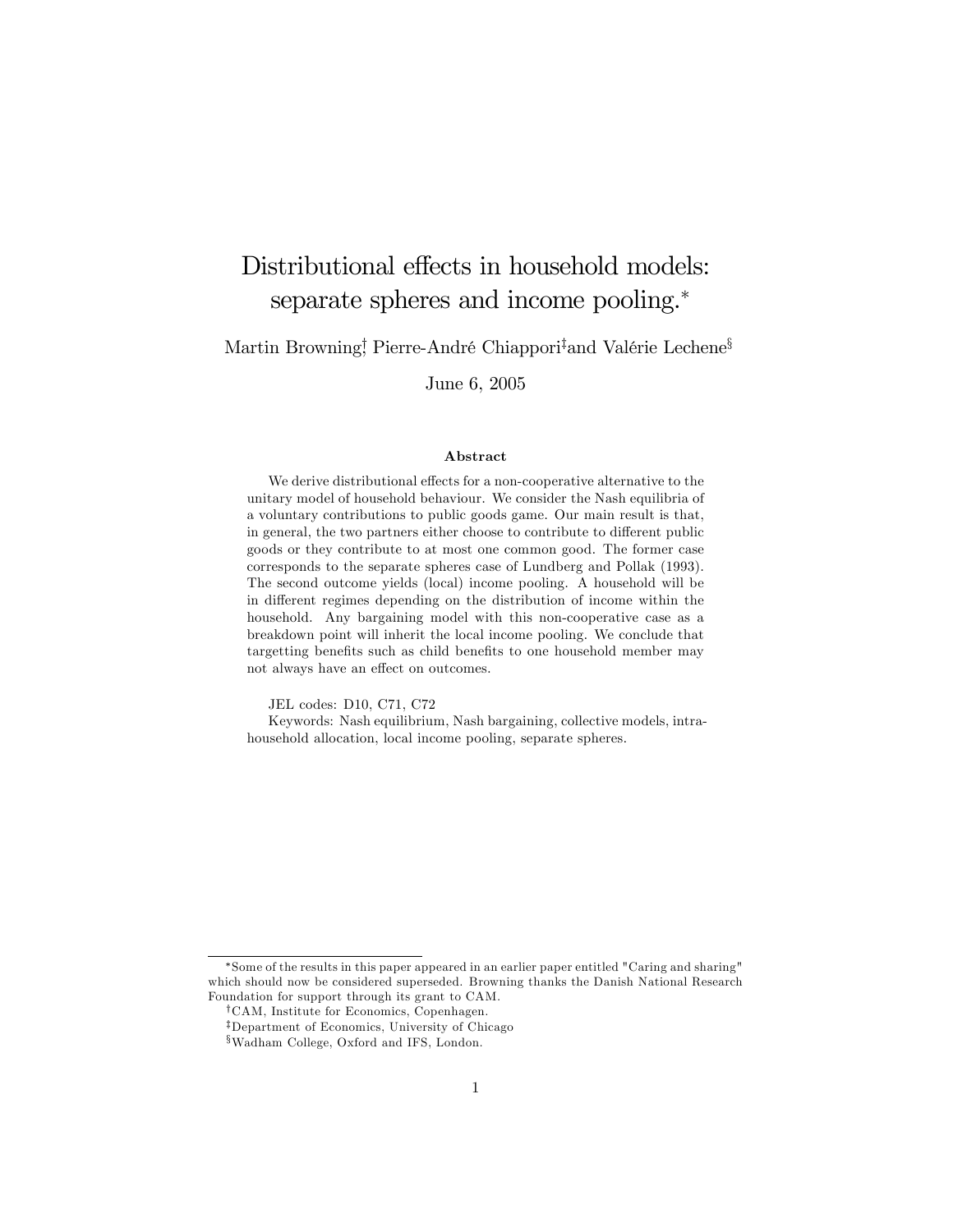# Distributional effects in household models: separate spheres and income pooling.<sup>\*</sup>

Martin Browning! Pierre-André Chiappori<sup>‡</sup>and Valérie Lechene<sup>§</sup>

June 6, 2005

#### Abstract

We derive distributional effects for a non-cooperative alternative to the unitary model of household behaviour. We consider the Nash equilibria of a voluntary contributions to public goods game. Our main result is that, in general, the two partners either choose to contribute to different public goods or they contribute to at most one common good. The former case corresponds to the separate spheres case of Lundberg and Pollak (1993). The second outcome yields (local) income pooling. A household will be in different regimes depending on the distribution of income within the household. Any bargaining model with this non-cooperative case as a breakdown point will inherit the local income pooling. We conclude that targetting benefits such as child benefits to one household member may not always have an effect on outcomes.

JEL codes: D10, C71, C72

Keywords: Nash equilibrium, Nash bargaining, collective models, intrahousehold allocation, local income pooling, separate spheres.

Some of the results in this paper appeared in an earlier paper entitled "Caring and sharing" which should now be considered superseded. Browning thanks the Danish National Research Foundation for support through its grant to CAM.

<sup>&</sup>lt;sup>†</sup>CAM, Institute for Economics, Copenhagen.

<sup>&</sup>lt;sup>‡</sup>Department of Economics, University of Chicago

xWadham College, Oxford and IFS, London.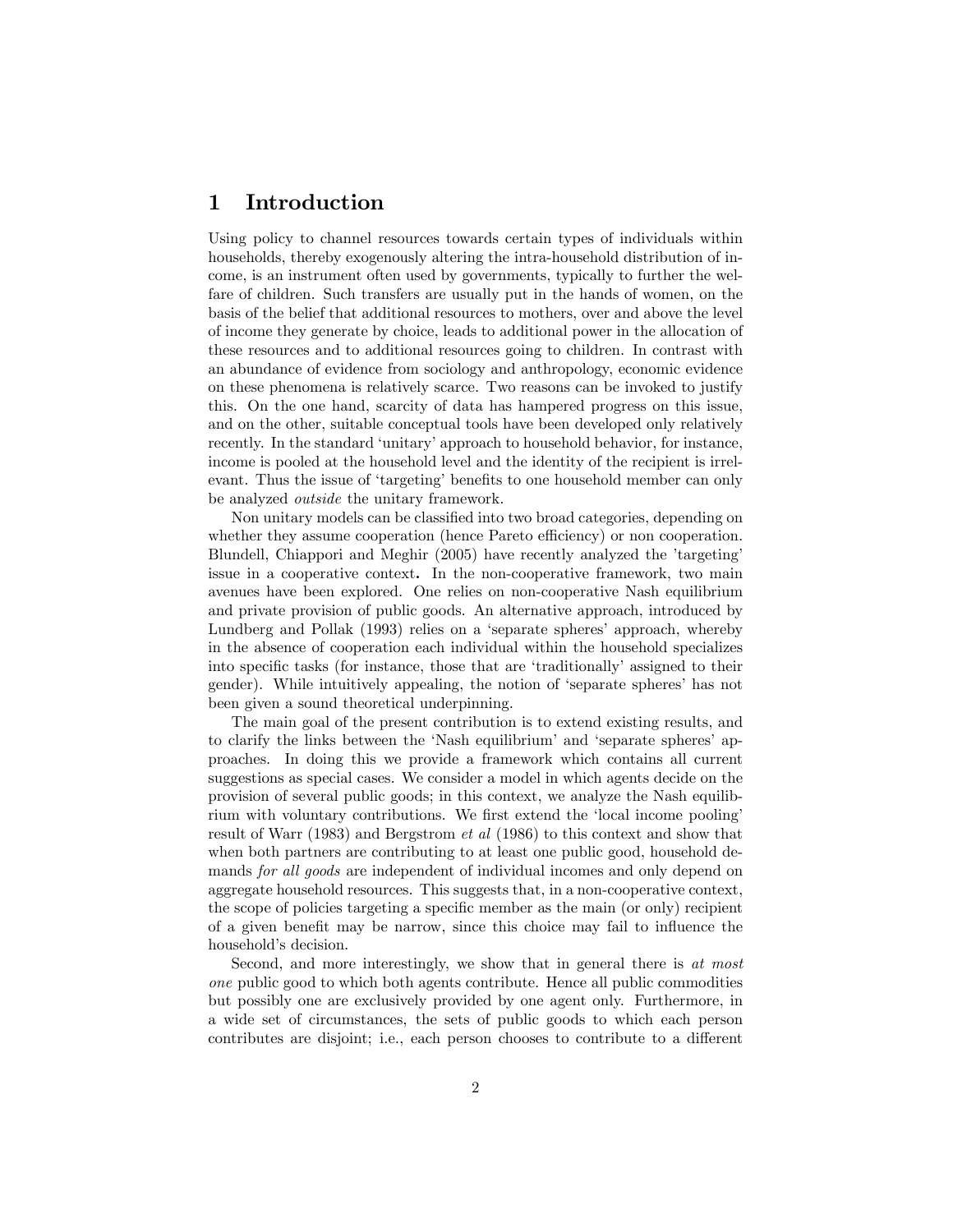# 1 Introduction

Using policy to channel resources towards certain types of individuals within households, thereby exogenously altering the intra-household distribution of income, is an instrument often used by governments, typically to further the welfare of children. Such transfers are usually put in the hands of women, on the basis of the belief that additional resources to mothers, over and above the level of income they generate by choice, leads to additional power in the allocation of these resources and to additional resources going to children. In contrast with an abundance of evidence from sociology and anthropology, economic evidence on these phenomena is relatively scarce. Two reasons can be invoked to justify this. On the one hand, scarcity of data has hampered progress on this issue, and on the other, suitable conceptual tools have been developed only relatively recently. In the standard 'unitary' approach to household behavior, for instance, income is pooled at the household level and the identity of the recipient is irrelevant. Thus the issue of 'targeting' benefits to one household member can only be analyzed outside the unitary framework.

Non unitary models can be classified into two broad categories, depending on whether they assume cooperation (hence Pareto efficiency) or non cooperation. Blundell, Chiappori and Meghir (2005) have recently analyzed the 'targeting' issue in a cooperative context. In the non-cooperative framework, two main avenues have been explored. One relies on non-cooperative Nash equilibrium and private provision of public goods. An alternative approach, introduced by Lundberg and Pollak (1993) relies on a 'separate spheres' approach, whereby in the absence of cooperation each individual within the household specializes into specific tasks (for instance, those that are 'traditionally' assigned to their gender). While intuitively appealing, the notion of ëseparate spheresí has not been given a sound theoretical underpinning.

The main goal of the present contribution is to extend existing results, and to clarify the links between the 'Nash equilibrium' and 'separate spheres' approaches. In doing this we provide a framework which contains all current suggestions as special cases. We consider a model in which agents decide on the provision of several public goods; in this context, we analyze the Nash equilibrium with voluntary contributions. We first extend the 'local income pooling' result of Warr (1983) and Bergstrom et al (1986) to this context and show that when both partners are contributing to at least one public good, household demands for all goods are independent of individual incomes and only depend on aggregate household resources. This suggests that, in a non-cooperative context, the scope of policies targeting a specific member as the main (or only) recipient of a given benefit may be narrow, since this choice may fail to influence the household's decision.

Second, and more interestingly, we show that in general there is at most one public good to which both agents contribute. Hence all public commodities but possibly one are exclusively provided by one agent only. Furthermore, in a wide set of circumstances, the sets of public goods to which each person contributes are disjoint; i.e., each person chooses to contribute to a different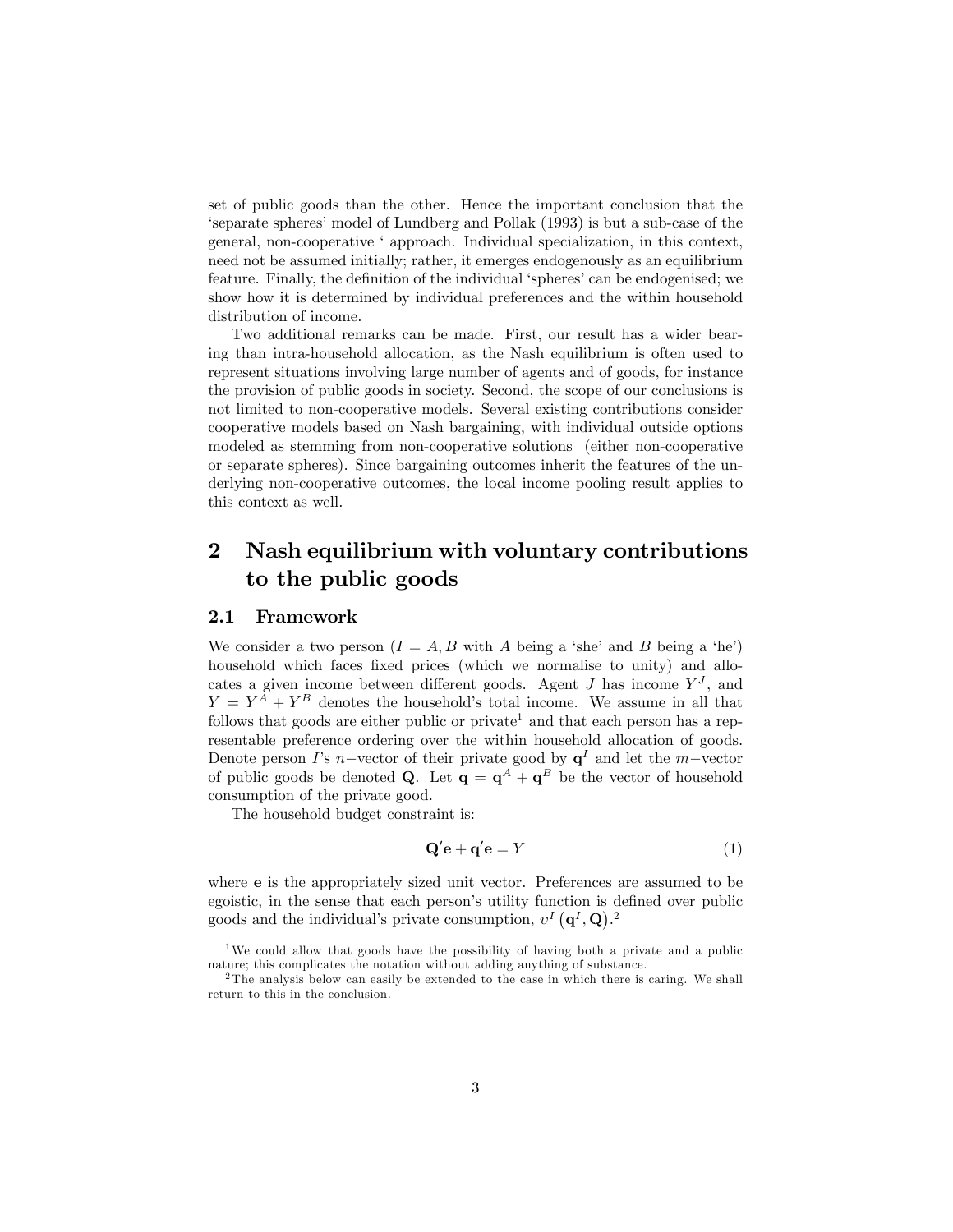set of public goods than the other. Hence the important conclusion that the ëseparate spheresímodel of Lundberg and Pollak (1993) is but a sub-case of the general, non-cooperative ëapproach. Individual specialization, in this context, need not be assumed initially; rather, it emerges endogenously as an equilibrium feature. Finally, the definition of the individual 'spheres' can be endogenised; we show how it is determined by individual preferences and the within household distribution of income.

Two additional remarks can be made. First, our result has a wider bearing than intra-household allocation, as the Nash equilibrium is often used to represent situations involving large number of agents and of goods, for instance the provision of public goods in society. Second, the scope of our conclusions is not limited to non-cooperative models. Several existing contributions consider cooperative models based on Nash bargaining, with individual outside options modeled as stemming from non-cooperative solutions (either non-cooperative or separate spheres). Since bargaining outcomes inherit the features of the underlying non-cooperative outcomes, the local income pooling result applies to this context as well.

# 2 Nash equilibrium with voluntary contributions to the public goods

#### 2.1 Framework

We consider a two person  $(I = A, B$  with A being a 'she' and B being a 'he') household which faces fixed prices (which we normalise to unity) and allocates a given income between different goods. Agent  $J$  has income  $Y<sup>J</sup>$ , and  $Y = Y^A + Y^B$  denotes the household's total income. We assume in all that follows that goods are either public or private<sup>1</sup> and that each person has a representable preference ordering over the within household allocation of goods. Denote person I's n-vector of their private good by  $q^I$  and let the m-vector of public goods be denoted **Q**. Let  $q = q^A + q^B$  be the vector of household consumption of the private good.

The household budget constraint is:

$$
\mathbf{Q'}\mathbf{e} + \mathbf{q'}\mathbf{e} = Y \tag{1}
$$

where e is the appropriately sized unit vector. Preferences are assumed to be egoistic, in the sense that each person's utility function is defined over public goods and the individual's private consumption,  $v^I(\mathbf{q}^I,\mathbf{Q})$ .<sup>2</sup>

<sup>&</sup>lt;sup>1</sup>We could allow that goods have the possibility of having both a private and a public nature; this complicates the notation without adding anything of substance.

 $2$ The analysis below can easily be extended to the case in which there is caring. We shall return to this in the conclusion.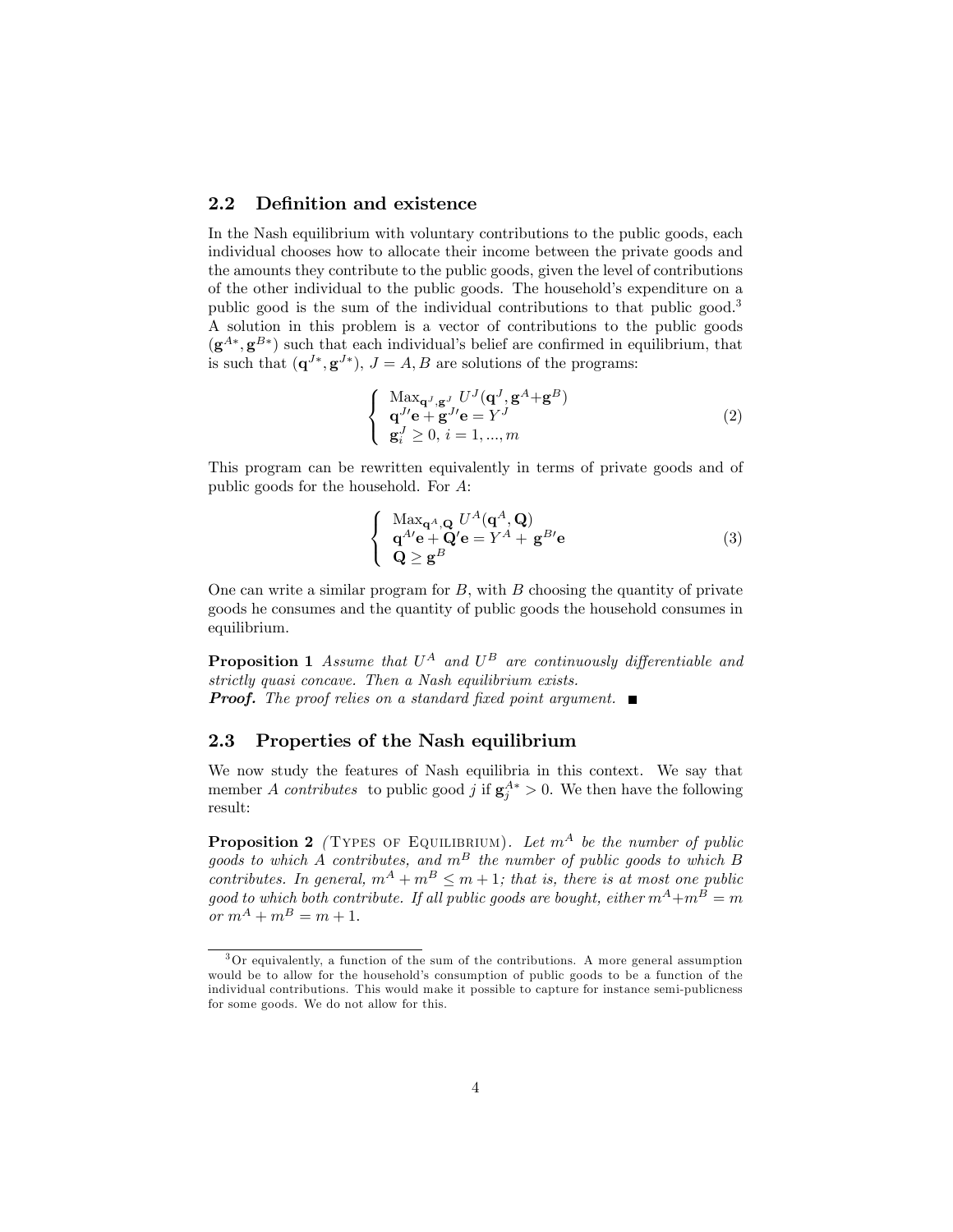#### 2.2 Definition and existence

In the Nash equilibrium with voluntary contributions to the public goods, each individual chooses how to allocate their income between the private goods and the amounts they contribute to the public goods, given the level of contributions of the other individual to the public goods. The household's expenditure on a public good is the sum of the individual contributions to that public good.<sup>3</sup> A solution in this problem is a vector of contributions to the public goods  $(g^{A*}, g^{B*})$  such that each individual's belief are confirmed in equilibrium, that is such that  $(\mathbf{q}^{J*}, \mathbf{g}^{J*}), J = A, B$  are solutions of the programs:

$$
\begin{cases}\n\operatorname{Max}_{\mathbf{q}^{J}, \mathbf{g}^{J}} U^{J}(\mathbf{q}^{J}, \mathbf{g}^{A} + \mathbf{g}^{B}) \\
\mathbf{q}^{J\prime}\mathbf{e} + \mathbf{g}^{J\prime}\mathbf{e} = Y^{J} \\
\mathbf{g}_{i}^{J} \geq 0, i = 1, ..., m\n\end{cases}
$$
\n(2)

This program can be rewritten equivalently in terms of private goods and of public goods for the household. For A:

$$
\begin{cases}\n\text{Max}_{\mathbf{q}^A, \mathbf{Q}} U^A(\mathbf{q}^A, \mathbf{Q}) \\
\mathbf{q}^{A\prime}\mathbf{e} + \mathbf{Q}\prime\mathbf{e} = Y^A + \mathbf{g}^{B\prime}\mathbf{e} \\
\mathbf{Q} \geq \mathbf{g}^B\n\end{cases}
$$
\n(3)

One can write a similar program for  $B$ , with  $B$  choosing the quantity of private goods he consumes and the quantity of public goods the household consumes in equilibrium.

**Proposition 1** Assume that  $U^A$  and  $U^B$  are continuously differentiable and strictly quasi concave. Then a Nash equilibrium exists. **Proof.** The proof relies on a standard fixed point argument.  $\blacksquare$ 

#### 2.3 Properties of the Nash equilibrium

We now study the features of Nash equilibria in this context. We say that member A contributes to public good j if  $g_j^{A*} > 0$ . We then have the following result:

**Proposition 2** (TYPES OF EQUILIBRIUM). Let  $m^A$  be the number of public goods to which A contributes, and  $m^B$  the number of public goods to which B contributes. In general,  $m^A + m^B \leq m + 1$ ; that is, there is at most one public good to which both contribute. If all public goods are bought, either  $m^A+m^B=m$ or  $m^A + m^B = m + 1$ .

<sup>3</sup>Or equivalently, a function of the sum of the contributions. A more general assumption would be to allow for the household's consumption of public goods to be a function of the individual contributions. This would make it possible to capture for instance semi-publicness for some goods. We do not allow for this.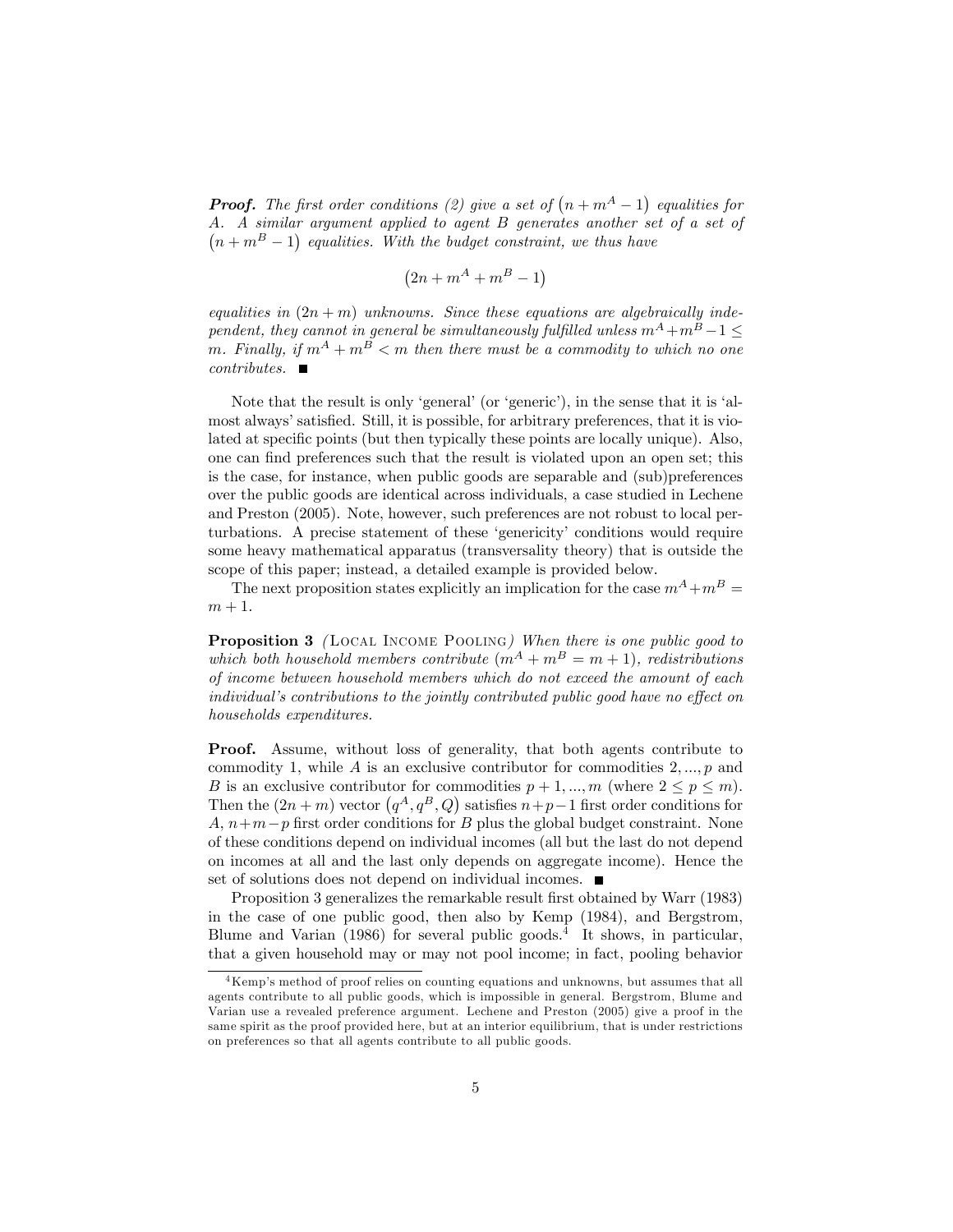**Proof.** The first order conditions (2) give a set of  $(n + m<sup>A</sup> - 1)$  equalities for A. A similar argument applied to agent B generates another set of a set of  $(n + m<sup>B</sup> - 1)$  equalities. With the budget constraint, we thus have

$$
(2n + m^A + m^B - 1)
$$

equalities in  $(2n + m)$  unknowns. Since these equations are algebraically independent, they cannot in general be simultaneously fulfilled unless  $m^A + m^B - 1 \leq$ m. Finally, if  $m^A + m^B < m$  then there must be a commodity to which no one  $contributes.$   $\blacksquare$ 

Note that the result is only 'general' (or 'generic'), in the sense that it is 'almost always' satisfied. Still, it is possible, for arbitrary preferences, that it is violated at specific points (but then typically these points are locally unique). Also, one can find preferences such that the result is violated upon an open set; this is the case, for instance, when public goods are separable and (sub)preferences over the public goods are identical across individuals, a case studied in Lechene and Preston (2005). Note, however, such preferences are not robust to local perturbations. A precise statement of these 'genericity' conditions would require some heavy mathematical apparatus (transversality theory) that is outside the scope of this paper; instead, a detailed example is provided below.

The next proposition states explicitly an implication for the case  $m^A + m^B =$  $m+1$ .

**Proposition 3** (LOCAL INCOME POOLING) When there is one public good to which both household members contribute  $(m^A + m^B = m + 1)$ , redistributions of income between household members which do not exceed the amount of each individual's contributions to the jointly contributed public good have no effect on households expenditures.

Proof. Assume, without loss of generality, that both agents contribute to commodity 1, while A is an exclusive contributor for commodities  $2, ..., p$  and B is an exclusive contributor for commodities  $p + 1, ..., m$  (where  $2 \le p \le m$ ). Then the  $(2n + m)$  vector  $(q<sup>A</sup>, q<sup>B</sup>, Q)$  satisfies  $n+p-1$  first order conditions for A,  $n+m-p$  first order conditions for B plus the global budget constraint. None of these conditions depend on individual incomes (all but the last do not depend on incomes at all and the last only depends on aggregate income). Hence the set of solutions does not depend on individual incomes.  $\blacksquare$ 

Proposition 3 generalizes the remarkable result first obtained by Warr (1983) in the case of one public good, then also by Kemp (1984), and Bergstrom, Blume and Varian (1986) for several public goods.<sup>4</sup> It shows, in particular, that a given household may or may not pool income; in fact, pooling behavior

<sup>&</sup>lt;sup>4</sup>Kemp's method of proof relies on counting equations and unknowns, but assumes that all agents contribute to all public goods, which is impossible in general. Bergstrom, Blume and Varian use a revealed preference argument. Lechene and Preston (2005) give a proof in the same spirit as the proof provided here, but at an interior equilibrium, that is under restrictions on preferences so that all agents contribute to all public goods.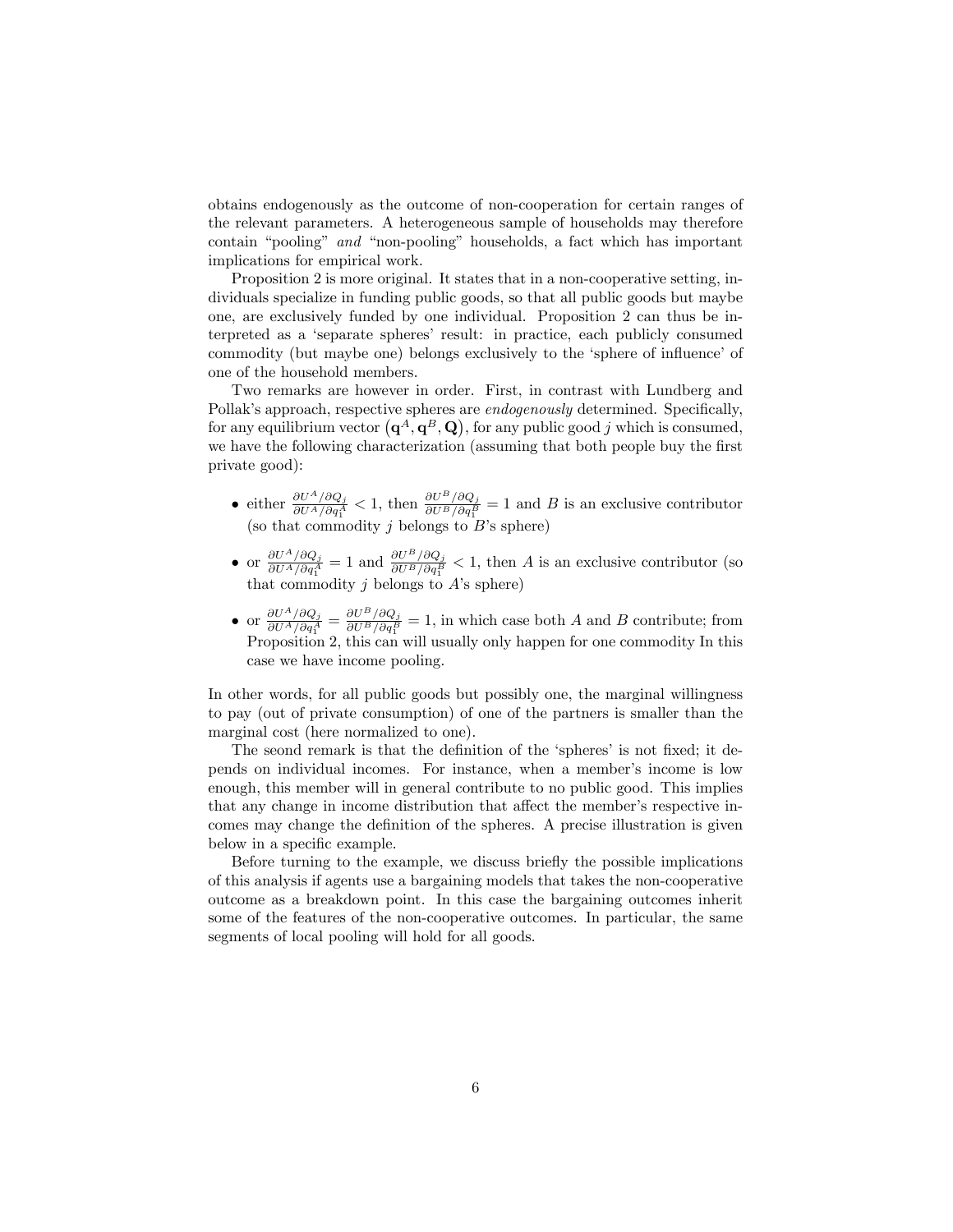obtains endogenously as the outcome of non-cooperation for certain ranges of the relevant parameters. A heterogeneous sample of households may therefore contain "pooling" and "non-pooling" households, a fact which has important implications for empirical work.

Proposition 2 is more original. It states that in a non-cooperative setting, individuals specialize in funding public goods, so that all public goods but maybe one, are exclusively funded by one individual. Proposition 2 can thus be interpreted as a 'separate spheres' result: in practice, each publicly consumed commodity (but maybe one) belongs exclusively to the 'sphere of influence' of one of the household members.

Two remarks are however in order. First, in contrast with Lundberg and Pollak's approach, respective spheres are *endogenously* determined. Specifically, for any equilibrium vector  $(q^A, q^B, Q)$ , for any public good j which is consumed, we have the following characterization (assuming that both people buy the first private good):

- either  $\frac{\partial U^A/\partial Q_j}{\partial U^A/\partial q_1^A} < 1$ , then  $\frac{\partial U^B/\partial Q_j}{\partial U^B/\partial q_1^B} = 1$  and B is an exclusive contributor (so that commodity  $j$  belongs to  $B$ 's sphere)
- or  $\frac{\partial U^A/\partial Q_j}{\partial U^A/\partial q_1^A}$  $\frac{\partial U^A/\partial Q_j}{\partial U^A/\partial q_1^A} = 1$  and  $\frac{\partial U^B/\partial Q_j}{\partial U^B/\partial q_1^B} < 1$ , then A is an exclusive contributor (so that commodity  $j$  belongs to  $A$ 's sphere)
- or  $\frac{\partial U^A/\partial Q_j}{\partial U^A/\partial q_1^A}$  $\frac{\partial U^A/\partial Q_j}{\partial U^A/\partial q_1^A}=\frac{\partial U^B/\partial Q_j}{\partial U^B/\partial q_1^B}$  $\frac{\partial U}{\partial U^B/\partial q_1^B} = 1$ , in which case both A and B contribute; from Proposition 2, this can will usually only happen for one commodity In this case we have income pooling.

In other words, for all public goods but possibly one, the marginal willingness to pay (out of private consumption) of one of the partners is smaller than the marginal cost (here normalized to one).

The seond remark is that the definition of the 'spheres' is not fixed; it depends on individual incomes. For instance, when a member's income is low enough, this member will in general contribute to no public good. This implies that any change in income distribution that affect the member's respective incomes may change the definition of the spheres. A precise illustration is given below in a specific example.

Before turning to the example, we discuss briefly the possible implications of this analysis if agents use a bargaining models that takes the non-cooperative outcome as a breakdown point. In this case the bargaining outcomes inherit some of the features of the non-cooperative outcomes. In particular, the same segments of local pooling will hold for all goods.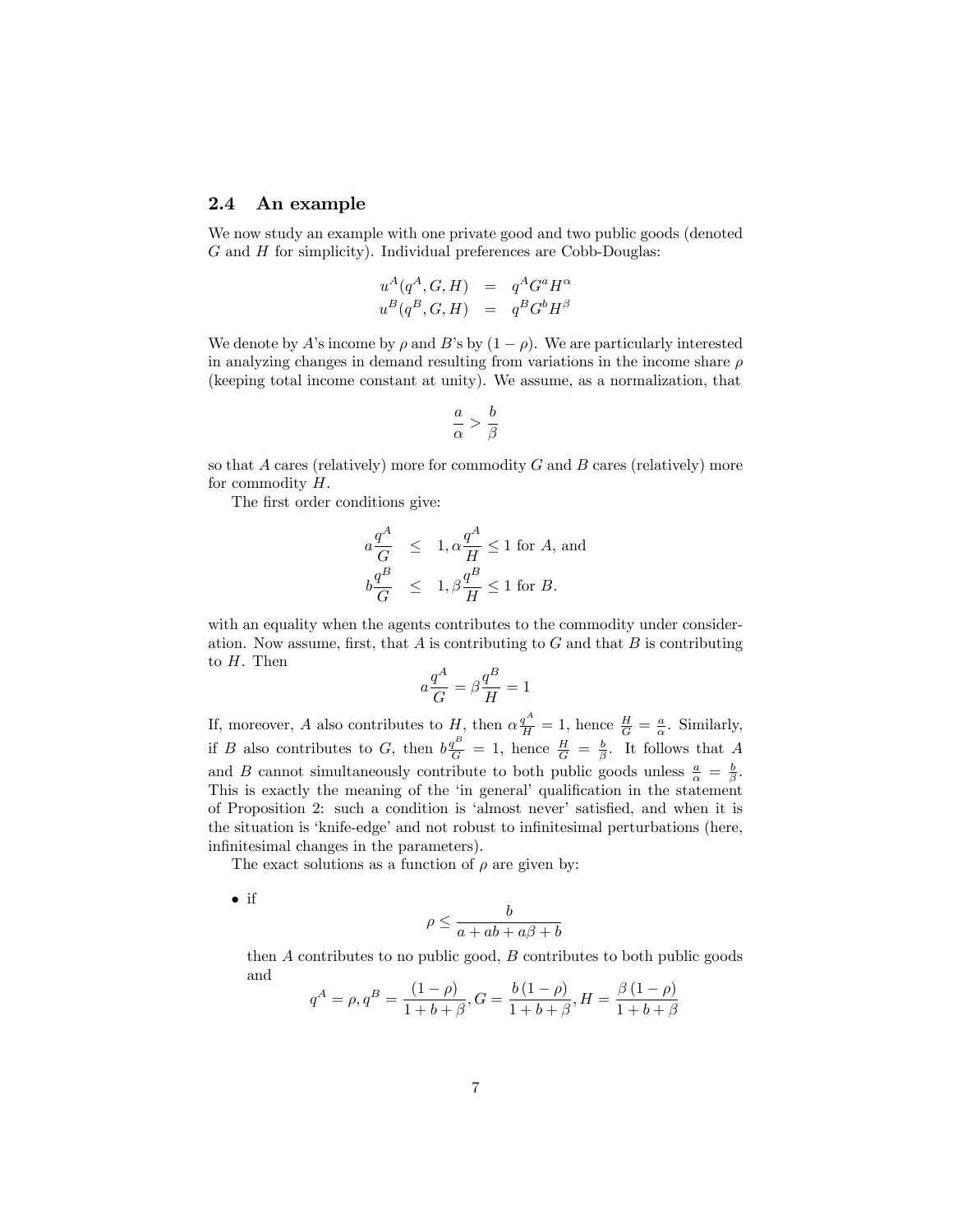#### 2.4 An example

We now study an example with one private good and two public goods (denoted  $G$  and  $H$  for simplicity). Individual preferences are Cobb-Douglas:

$$
u^A(q^A, G, H) = q^A G^a H^\alpha
$$
  

$$
u^B(q^B, G, H) = q^B G^b H^\beta
$$

We denote by A's income by  $\rho$  and B's by  $(1 - \rho)$ . We are particularly interested in analyzing changes in demand resulting from variations in the income share  $\rho$ (keeping total income constant at unity). We assume, as a normalization, that

$$
\frac{a}{\alpha} > \frac{b}{\beta}
$$

so that A cares (relatively) more for commodity  $G$  and  $B$  cares (relatively) more for commodity  $H$ .

The first order conditions give:

$$
a \frac{q^A}{G} \le 1, \alpha \frac{q^A}{H} \le 1 \text{ for } A, \text{ and}
$$
  

$$
b \frac{q^B}{G} \le 1, \beta \frac{q^B}{H} \le 1 \text{ for } B.
$$

with an equality when the agents contributes to the commodity under consideration. Now assume, first, that  $A$  is contributing to  $G$  and that  $B$  is contributing to  $H$ . Then

$$
a\frac{q^A}{G} = \beta \frac{q^B}{H} = 1
$$

If, moreover, A also contributes to H, then  $\alpha \frac{q^A}{H} = 1$ , hence  $\frac{H}{G} = \frac{a}{\alpha}$ . Similarly, if B also contributes to G, then  $b\frac{q^B}{G} = 1$ , hence  $\frac{H}{G} = \frac{b}{\beta}$ . It follows that A and B cannot simultaneously contribute to both public goods unless  $\frac{a}{\alpha} = \frac{b}{\beta}$ . This is exactly the meaning of the 'in general' qualification in the statement of Proposition 2: such a condition is 'almost never' satisfied, and when it is the situation is 'knife-edge' and not robust to infinitesimal perturbations (here, infinitesimal changes in the parameters).

The exact solutions as a function of  $\rho$  are given by:

 $\bullet$  if

$$
\rho \le \frac{b}{a + ab + a\beta + b}
$$

then  $A$  contributes to no public good,  $B$  contributes to both public goods and

$$
q^{A} = \rho, q^{B} = \frac{(1-\rho)}{1+b+\beta}, G = \frac{b(1-\rho)}{1+b+\beta}, H = \frac{\beta(1-\rho)}{1+b+\beta}
$$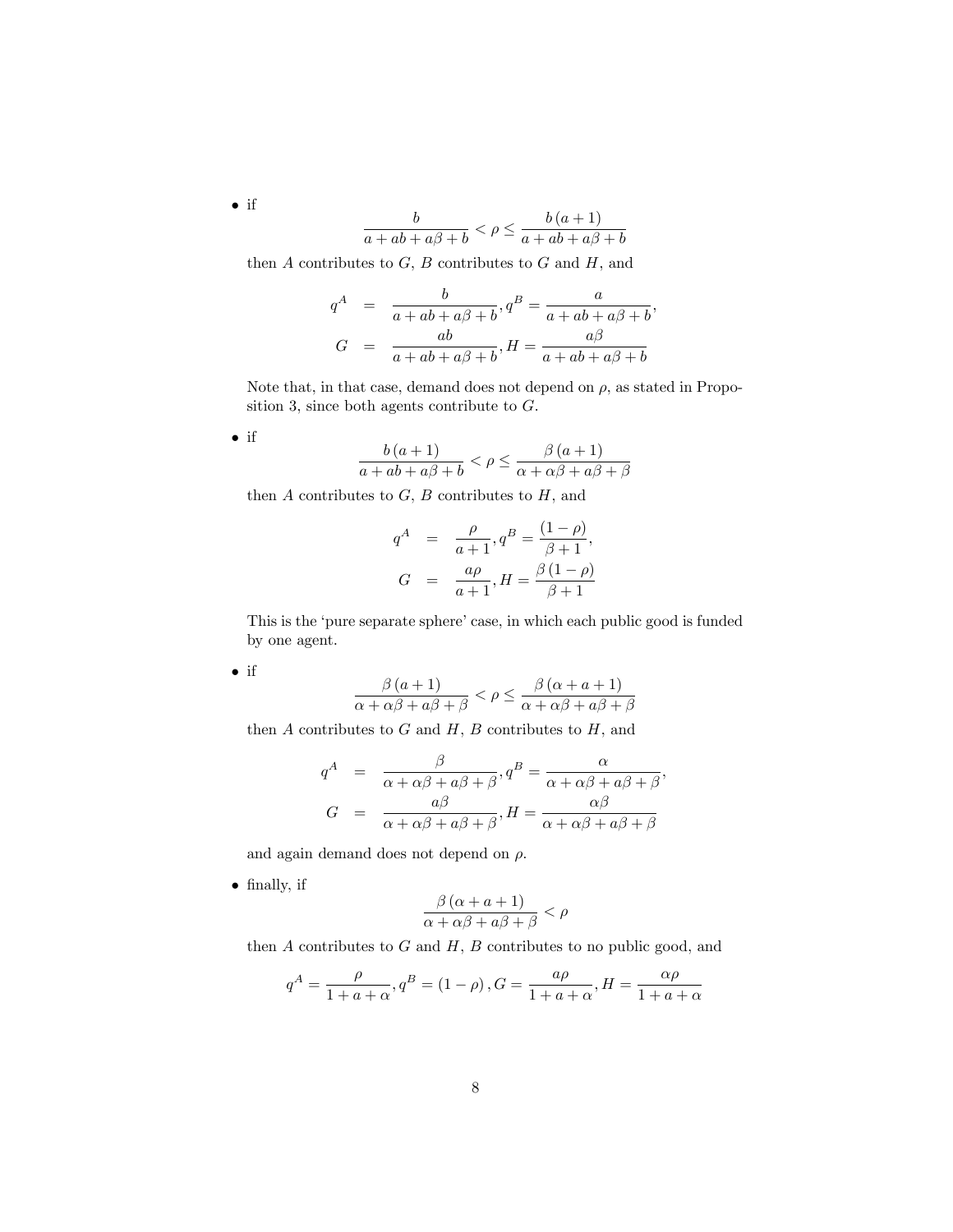$$
\frac{b}{a+ab+a\beta+b}<\rho\leq\frac{b\left(a+1\right)}{a+ab+a\beta+b}
$$

then  $A$  contributes to  $G$ ,  $B$  contributes to  $G$  and  $H$ , and

$$
q^{A} = \frac{b}{a + ab + a\beta + b}, q^{B} = \frac{a}{a + ab + a\beta + b},
$$
  

$$
G = \frac{ab}{a + ab + a\beta + b}, H = \frac{a\beta}{a + ab + a\beta + b}
$$

Note that, in that case, demand does not depend on  $\rho$ , as stated in Proposition 3, since both agents contribute to G.

 $\bullet$  if

$$
\frac{b(a+1)}{a+ab+a\beta+b} < \rho \le \frac{\beta(a+1)}{\alpha+\alpha\beta+a\beta+\beta}
$$

then  $A$  contributes to  $G$ ,  $B$  contributes to  $H$ , and

$$
q^{A} = \frac{\rho}{a+1}, q^{B} = \frac{(1-\rho)}{\beta+1},
$$
  

$$
G = \frac{a\rho}{a+1}, H = \frac{\beta(1-\rho)}{\beta+1}
$$

This is the 'pure separate sphere' case, in which each public good is funded by one agent.

 $\bullet$  if

$$
\frac{\beta (a+1)}{\alpha + \alpha \beta + a \beta + \beta} < \rho \le \frac{\beta (\alpha + a + 1)}{\alpha + \alpha \beta + a \beta + \beta}
$$

then  $A$  contributes to  $G$  and  $H, B$  contributes to  $H$ , and

$$
q^{A} = \frac{\beta}{\alpha + \alpha\beta + a\beta + \beta}, q^{B} = \frac{\alpha}{\alpha + \alpha\beta + a\beta + \beta},
$$
  

$$
G = \frac{a\beta}{\alpha + \alpha\beta + a\beta + \beta}, H = \frac{\alpha\beta}{\alpha + \alpha\beta + a\beta + \beta}
$$

and again demand does not depend on  $\rho$ .

• finally, if

$$
\frac{\beta(\alpha + a + 1)}{\alpha + \alpha\beta + a\beta + \beta} < \rho
$$

then  $A$  contributes to  $G$  and  $H, B$  contributes to no public good, and

$$
q^{A} = \frac{\rho}{1 + a + \alpha}, q^{B} = (1 - \rho), G = \frac{a\rho}{1 + a + \alpha}, H = \frac{\alpha\rho}{1 + a + \alpha}
$$

 $\bullet$  if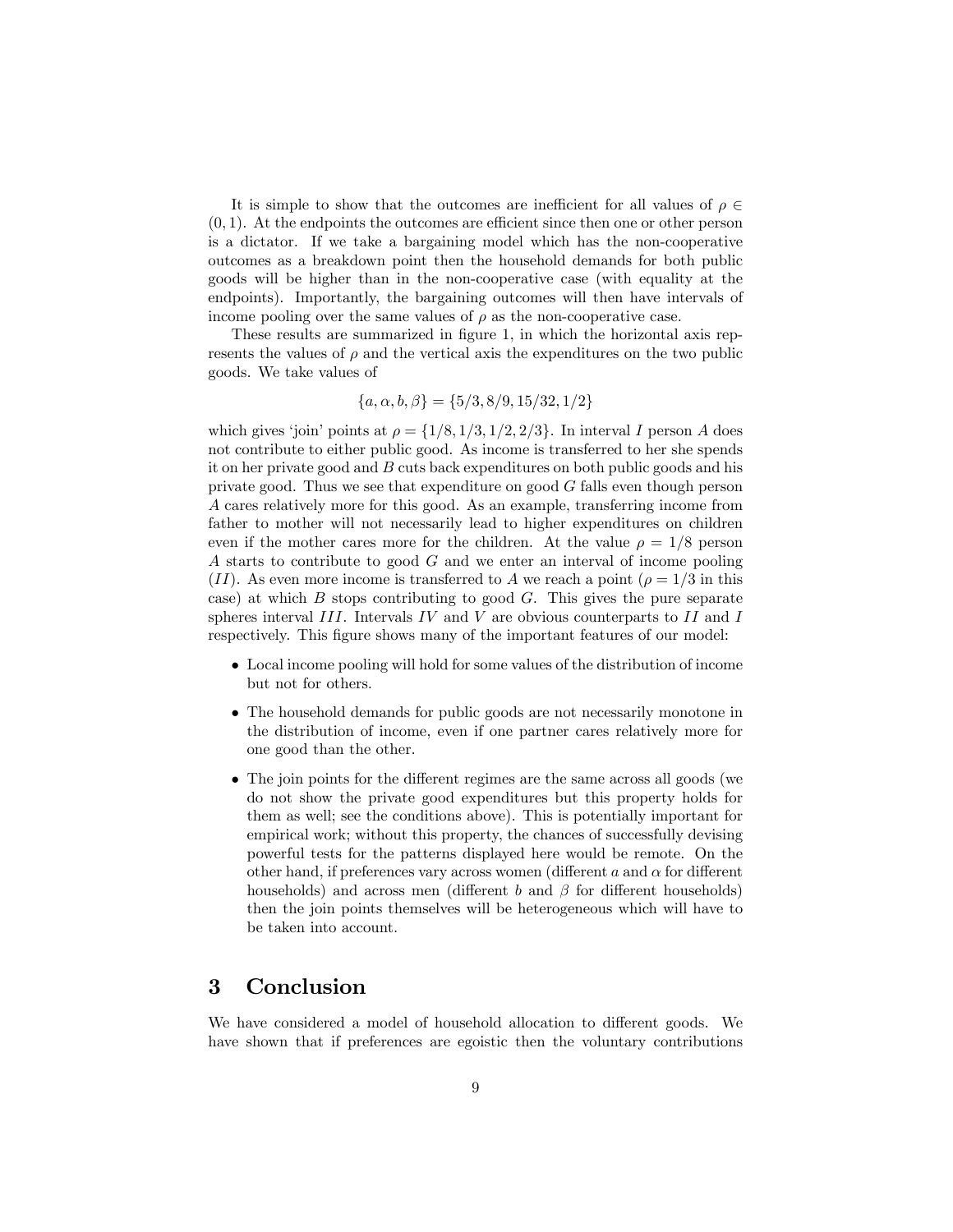It is simple to show that the outcomes are inefficient for all values of  $\rho \in$  $(0, 1)$ . At the endpoints the outcomes are efficient since then one or other person is a dictator. If we take a bargaining model which has the non-cooperative outcomes as a breakdown point then the household demands for both public goods will be higher than in the non-cooperative case (with equality at the endpoints). Importantly, the bargaining outcomes will then have intervals of income pooling over the same values of  $\rho$  as the non-cooperative case.

These results are summarized in figure 1, in which the horizontal axis represents the values of  $\rho$  and the vertical axis the expenditures on the two public goods. We take values of

$$
\{a, \alpha, b, \beta\} = \{5/3, 8/9, 15/32, 1/2\}
$$

which gives 'join' points at  $\rho = \{1/8, 1/3, 1/2, 2/3\}$ . In interval I person A does not contribute to either public good. As income is transferred to her she spends it on her private good and B cuts back expenditures on both public goods and his private good. Thus we see that expenditure on good G falls even though person A cares relatively more for this good. As an example, transferring income from father to mother will not necessarily lead to higher expenditures on children even if the mother cares more for the children. At the value  $\rho = 1/8$  person A starts to contribute to good G and we enter an interval of income pooling (II). As even more income is transferred to A we reach a point ( $\rho = 1/3$  in this case) at which  $B$  stops contributing to good  $G$ . This gives the pure separate spheres interval  $III$ . Intervals  $IV$  and  $V$  are obvious counterparts to  $II$  and  $I$ respectively. This figure shows many of the important features of our model:

- Local income pooling will hold for some values of the distribution of income but not for others.
- The household demands for public goods are not necessarily monotone in the distribution of income, even if one partner cares relatively more for one good than the other.
- The join points for the different regimes are the same across all goods (we do not show the private good expenditures but this property holds for them as well; see the conditions above). This is potentially important for empirical work; without this property, the chances of successfully devising powerful tests for the patterns displayed here would be remote. On the other hand, if preferences vary across women (different  $a$  and  $\alpha$  for different households) and across men (different b and  $\beta$  for different households) then the join points themselves will be heterogeneous which will have to be taken into account.

## 3 Conclusion

We have considered a model of household allocation to different goods. We have shown that if preferences are egoistic then the voluntary contributions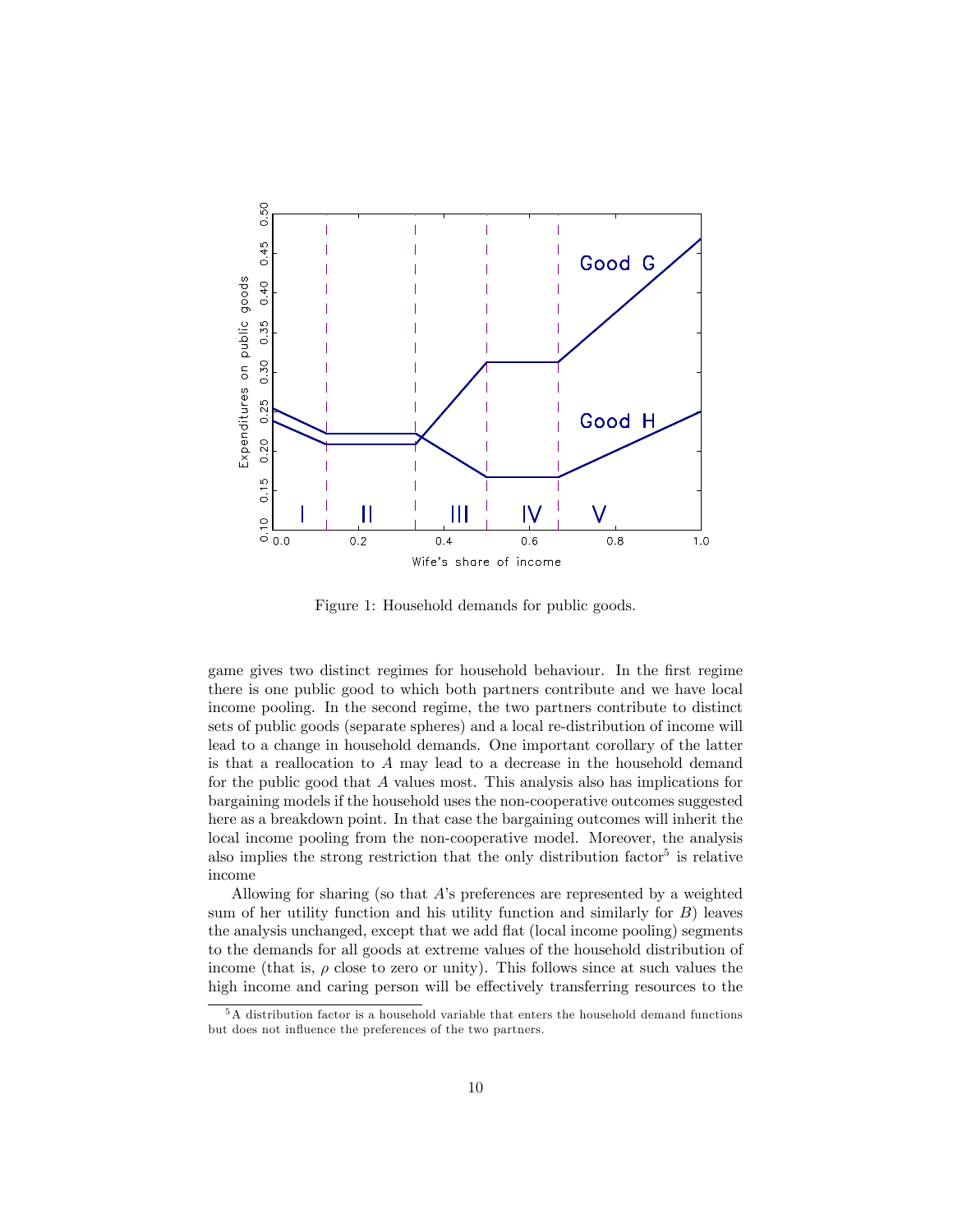

Figure 1: Household demands for public goods.

game gives two distinct regimes for household behaviour. In the first regime there is one public good to which both partners contribute and we have local income pooling. In the second regime, the two partners contribute to distinct sets of public goods (separate spheres) and a local re-distribution of income will lead to a change in household demands. One important corollary of the latter is that a reallocation to A may lead to a decrease in the household demand for the public good that A values most. This analysis also has implications for bargaining models if the household uses the non-cooperative outcomes suggested here as a breakdown point. In that case the bargaining outcomes will inherit the local income pooling from the non-cooperative model. Moreover, the analysis also implies the strong restriction that the only distribution factor<sup>5</sup> is relative income

Allowing for sharing (so that  $A$ 's preferences are represented by a weighted sum of her utility function and his utility function and similarly for  $B$ ) leaves the analysis unchanged, except that we add flat (local income pooling) segments to the demands for all goods at extreme values of the household distribution of income (that is,  $\rho$  close to zero or unity). This follows since at such values the high income and caring person will be effectively transferring resources to the

<sup>5</sup>A distribution factor is a household variable that enters the household demand functions but does not influence the preferences of the two partners.